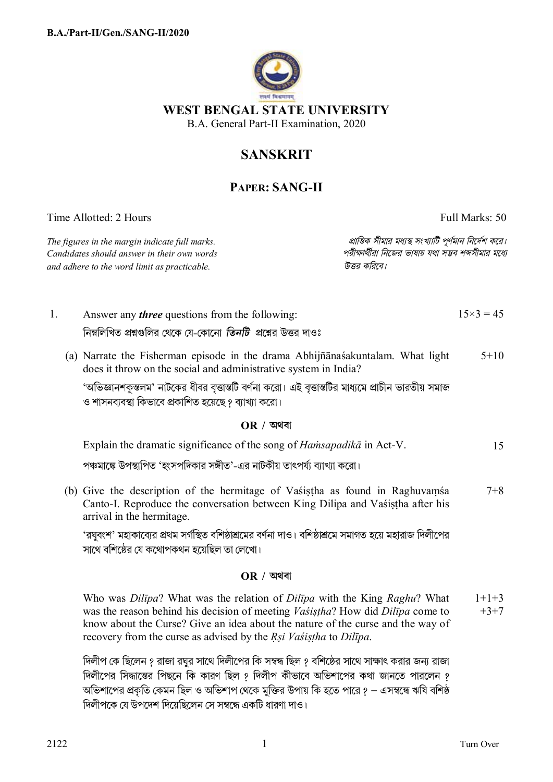

# **SANSKRIT**

## **PAPER: SANG-II**

Time Allotted: 2 Hours Full Marks: 50

*Candidates should answer in their own words পরীkাথীরা িনেজর ভাষায় যথা সmব শbসীমার মেধ° and adhere to the word limit as practicable. উtর কিরেব।*

*The figures in the margin indicate full marks. pািnক সীমার মধ°s সংখ°ািট পূণমান িনেদশ কের।*

- 1. Answer any *three* questions from the following: নিম্নলিখিত প্রশ্নগুলির থেকে যে-কোনো *তিনটি প্রশ্নে*র উত্তর দাওঃ  $15\times3 = 45$ (a) Narrate the Fisherman episode in the drama Abhijñānaśakuntalam. What light does it throw on the social and administrative system in India? 'অভিজ্ঞানশকৃন্তলম' নাটকের ধীবর বৃত্তান্তটি বর্ণনা করো। এই বৃত্তান্তটির মাধ্যমে প্রাচীন ভারতীয় সমাজ ও শাসনব্যবস্থা কিভাবে প্রকাশিত হয়েছে ? ব্যাখ্যা করো।  $5+10$ **OR / অথবা** Explain the dramatic significance of the song of *Haṁsapadikā* in Act-V. পঞ্চমাঙ্কে উপস্থাপিত 'হংসপদিকার সঙ্গীত'-এর নাটকীয় তাৎপর্য্য ব্যাখ্যা করো। 15
	- (b) Give the description of the hermitage of Vaśiṣṭha as found in Raghuvaṃśa Canto-I. Reproduce the conversation between King Dilipa and Vaśiṣṭha after his arrival in the hermitage. 7+8

'রঘুবংশ' মহাকাব্যের প্রথম সর্গস্থিত বশিষ্ঠাশ্রমের বর্ণনা দাও। বশিষ্ঠাশ্রমে সমাগত হয়ে মহারাজ দিলীপের সাথে বশিষ্ঠের যে কথোপকথন হয়েছিল তা লেখো।

### **OR / অথবা**

Who was *Dilīpa*? What was the relation of *Dilīpa* with the King *Raghu*? What was the reason behind his decision of meeting *Vaśiṣṭha*? How did *Dilīpa* come to know about the Curse? Give an idea about the nature of the curse and the way of recovery from the curse as advised by the *Ṛṣi Vaśiṣṭha* to *Dilīpa*.  $1+1+3$  $+3+7$ 

দিলীপ কে ছিলেন ? রাজা রঘুর সাথে দিলীপের কি সম্বন্ধ ছিল ? বশিষ্ঠের সাথে সাক্ষাৎ করার জন্য রাজা দিলীপের সিদ্ধান্তের পিছনে কি কারণ ছিল ? দিলীপ কীভাবে অভিশাপের কথা জানতে পারলেন ? অভিশাপের প্রকৃতি কেমন ছিল ও অভিশাপ থেকে মুক্তির উপায় কি হতে পারে ? — এসম্বন্ধে ঋষি বশিষ্ঠ দিলীপকে যে উপদেশ দিয়েছিলেন সে সম্বন্ধে একটি ধারণা দাও।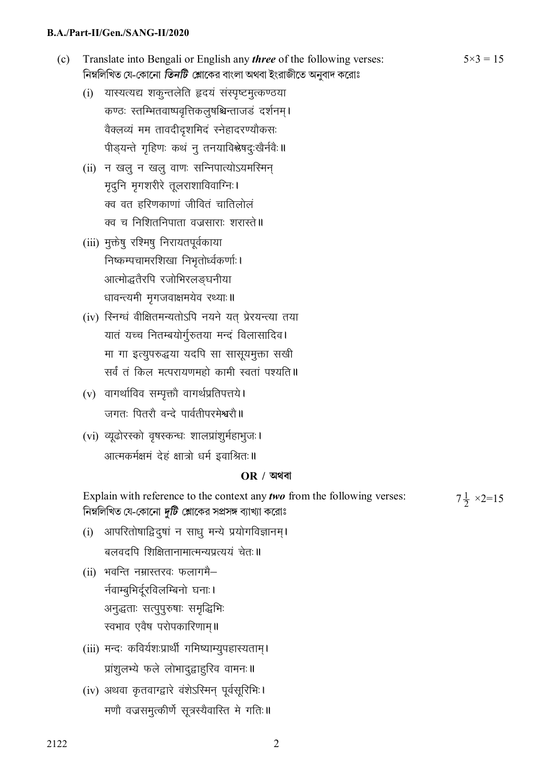#### B.A./Part-II/Gen./SANG-II/2020

- $(c)$ Translate into Bengali or English any *three* of the following verses: নিম্নলিখিত যে-কোনো *তিনটি শ্লো*কের বাংলা অথবা ইংরাজীতে অনুবাদ করোঃ
	- (i) यास्यत्यद्य शकुन्तलेति हृदयं संस्पृष्टमुत्कण्ठया कण्ठः स्तम्भितवाष्पवृत्तिकलुषश्चिन्ताजडं दर्शनम्। वैक्लव्यं मम तावदीदृशमिदं स्नेहादरण्यौकसः पीड़यन्ते गृहिणः कथं न् तनयाविश्लेषद्ःखैर्नवैः ॥
	- (ii) न खल न खल वाणः सन्निपात्योऽयमस्मिन मृद्नि मृगशरीरे तूलराशाविवाग्निः। क्व वत हरिणकाणां जीवितं चातिलोलं क्व च निशितनिपाता वज्रसाराः शरास्ते॥
	- (iii) मुक्तेषु रश्मिषु निरायतपूर्वकाया निष्कम्पचामरशिखा निभूतोर्ध्वकर्णाः। आत्मोद्धतैरपि रजोभिरलङ्घनीया धावन्त्यमी मृगजवाक्षमयेव रथ्याः॥
	- (iv) रिनग्धं वीक्षितमन्यतोऽपि नयने यत् प्रेरयन्त्या तया यातं यच्च नितम्बयोर्ग्रुतया मन्दं विलासादिव। मा गा इत्युपरुद्धया यदपि सा सासूयमुक्ता सखी सर्वं तं किल मत्परायणमहो कामी स्वतां पश्यति**॥**
	- $(v)$  वागर्थाविव सम्पृक्तौ वागर्थप्रतिपत्तये। जगतः पितरौ वन्दे पार्वतीपरमेश्वरौ॥
	- (vi) व्यूढोरस्को वृषस्कन्धः शालप्रांशुर्महाभूजः। आत्मकर्मक्षमं देहं क्षात्रो धर्म इवाश्रितः॥

#### $OR / Q$ यथवा

Explain with reference to the context any *two* from the following verses:  $7\frac{1}{2} \times 2 = 15$ নিম্নলিখিত যে-কোনো *দুটি শ্লো*কের সপ্রসঙ্গ ব্যাখ্যা করোঃ

- (i) आपरितोषाद्विदुषां न साधु मन्ये प्रयोगविज्ञानम्। बलवदपि शिक्षितानामात्मन्यप्रत्ययं चेतः॥
- (ii) भवन्ति नम्रास्तरवः फलागमै– र्नवाम्बुभिर्दूरविलम्बिनो घनाः। अनुद्धताः सत्पुपुरुषाः समृद्धिभिः स्वभाव एवैष परोपकारिणाम्॥
- (iii) मन्दः कविर्यशःप्रार्थी गमिष्याम्युपहास्यताम्। प्रांशुलभ्ये फले लोभादुद्वाहुरिव वामनः॥
- (iv) अथवा कृतवाग्द्वारे वंशेऽस्मिन् पूर्वसूरिभिः। मणौ वज्रसमुत्कीर्णे सूत्रस्यैवास्ति मे गतिः॥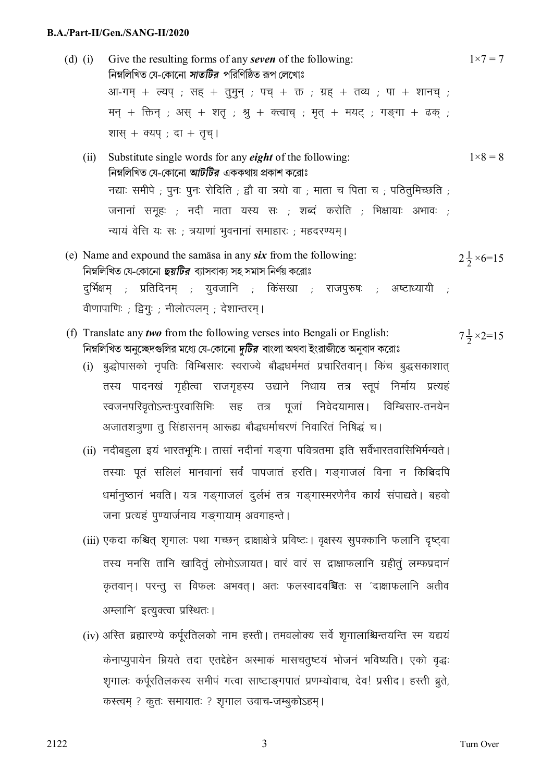#### **B.A./Part-II/Gen./SANG-II/2020**

- (d) (i) Give the resulting forms of any *seven* of the following: িনmিলিখত েয-েকােনা *সাতিটর* পিরিণিŸত rপ েলেখাঃ  $3 \pi$ -गम् + ल्यप्; सह् + तुमुन्; पच् + क्त; ग्रह् + तव्य; पा + शानच्; मन् + क्तिन् ; अस् + शत् ; श्र् + क्त्वाच् ; मृत् + मयट् ; गङ्गा + ढक् ; शास + क्यप ; दा + तूच् |  $1 \times 7 = 7$ 
	- (ii) Substitute single words for any *eight* of the following: িনmিলিখত েয-েকােনা *আটিটর* এককথায় pকাশ কেরাঃ नद्याः समीपे ; पुनः पुनः रोदिति ; द्वौ वा त्रयो वा ; माता च पिता च ; पठितुमिच्छति ; जनानां समूहः ; नदी माता यस्य सः ; शब्दं करोति ; भिक्षायाः अभावः ; न्यायं वेत्ति यः सः ; त्रयाणां भवनानां समाहारः ; महदरण्यम।  $1 \times 8 = 8$
- (e) Name and expound the samāsa in any *six* from the following: নিম্নলিখিত যে-কোনো *ছয়টির* ব্যাসবাক্য সহ সমাস নির্ণয় করোঃ दुर्भिक्षम् ; प्रतिदिनम् ; युवजानि ; किंसखा ; राजपुरुषः ; अष्टाध्यायी वीणापाणिः ; द्विगुः ; नीलोत्पलम् ; देशान्तरम् ।  $2\frac{1}{2} \times 6 = 15$
- (f) Translate any *two* from the following verses into Bengali or English: নিম্নলিখিত অনুচ্ছেদগুলির মধ্যে যে-কোনো *দুটির* বাংলা অথবা ইংরাজীতে অনুবাদ করোঃ  $7\frac{1}{2} \times 2 = 15$ 
	- (i) बुद्धोपासको नुपतिः विम्बिसारः स्वराज्ये बौद्धधर्ममतं प्रचारितवान् । किंच बुद्धसकाशात् तस्य पादनखं गृहीत्वा राजगृहस्य उद्याने निधाय तत्र स्तुपं निर्माय प्रत्यहं स्वजनपरिवृतोऽन्तःपुरवासिभिः सह तत्र पूजां निवेदयामास। विम्बिसार-तनयेन अजातशत्रूणा त् सिंहासनम् आरूह्य बौद्धधर्माचरणं निवारितं निषिद्धं च।
	- (ii) नदीबह्ला इयं भारतभूमिः | तासां नदीनां गङ्गा पवित्रतमा इति सर्वैभारतवासिभिर्मन्यते | तस्याः पूतं सलिलं मानवानां सर्वं पापजातं हरति। गङगाजलं विना न किञ्चिदपि धर्मानुष्ठानं भवति। यत्र गङगाजलं दुर्लभं तत्र गङगास्मरणेनैव कार्यं संपाद्यते। बहवो जना प्रत्यहं पुण्यार्जनाय गङ्गायाम् अवगाहन्ते।
	- (iii) एकदा कश्चित् शृगालः पथा गच्छन् द्राक्षाक्षेत्रे प्रविष्टः। वृक्षस्य सुपक्कानि फलानि दृष्ट्वा तस्य मनसि तानि खादितुं लोभोऽजायत। वारं वारं स द्राक्षाफलानि ग्रहीतुं लम्फप्रदानं कृतवान। परन्तु स विफलः अभवत। अतः फलस्वादवञ्चितः स 'दाक्षाफलानि अतीव अम्लानि' इत्युक्त्वा प्रस्थितः ।
	- $(iv)$  अस्ति ब्रह्मारण्ये कर्परतिलको नाम हस्ती । तमवलोक्य सर्वे शगालाश्चिन्तयन्ति स्म यद्ययं केनाप्युपायेन म्रियते तदा एतद्देहेन अस्माकं मासचतुष्टयं भोजनं भविष्यति। एको वृद्धः शृगालः कर्पूरतिलकस्य समीपं गत्वा साष्टाङ्गपातं प्रणम्योवाच, देव! प्रसीद। हस्ती ब्रूते, करत्त्वम् ? कृतः समायातः ? शुगाल उवाच-जम्बुकोऽहम्।